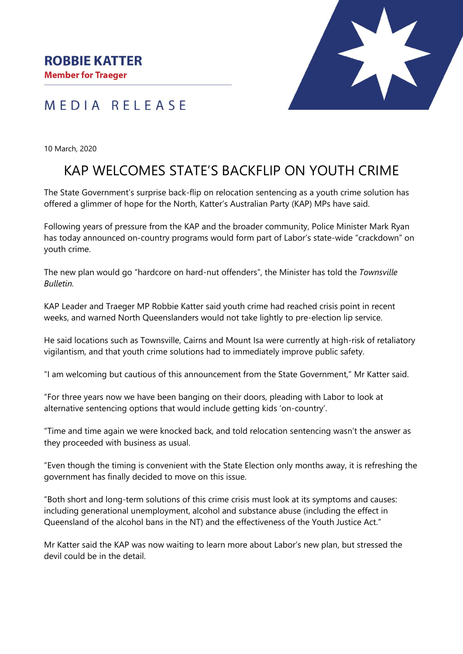MEDIA RELEASE



10 March, 2020

## KAP WELCOMES STATE'S BACKFLIP ON YOUTH CRIME

The State Government's surprise back-flip on relocation sentencing as a youth crime solution has offered a glimmer of hope for the North, Katter's Australian Party (KAP) MPs have said.

Following years of pressure from the KAP and the broader community, Police Minister Mark Ryan has today announced on-country programs would form part of Labor's state-wide "crackdown" on youth crime.

The new plan would go "hardcore on hard-nut offenders", the Minister has told the *Townsville Bulletin.* 

KAP Leader and Traeger MP Robbie Katter said youth crime had reached crisis point in recent weeks, and warned North Queenslanders would not take lightly to pre-election lip service.

He said locations such as Townsville, Cairns and Mount Isa were currently at high-risk of retaliatory vigilantism, and that youth crime solutions had to immediately improve public safety.

"I am welcoming but cautious of this announcement from the State Government," Mr Katter said.

"For three years now we have been banging on their doors, pleading with Labor to look at alternative sentencing options that would include getting kids 'on-country'.

"Time and time again we were knocked back, and told relocation sentencing wasn't the answer as they proceeded with business as usual.

"Even though the timing is convenient with the State Election only months away, it is refreshing the government has finally decided to move on this issue.

"Both short and long-term solutions of this crime crisis must look at its symptoms and causes: including generational unemployment, alcohol and substance abuse (including the effect in Queensland of the alcohol bans in the NT) and the effectiveness of the Youth Justice Act."

Mr Katter said the KAP was now waiting to learn more about Labor's new plan, but stressed the devil could be in the detail.